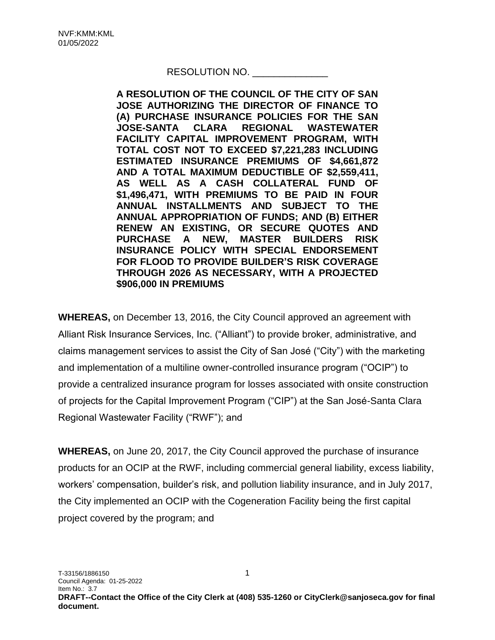## RESOLUTION NO.

**A RESOLUTION OF THE COUNCIL OF THE CITY OF SAN JOSE AUTHORIZING THE DIRECTOR OF FINANCE TO (A) PURCHASE INSURANCE POLICIES FOR THE SAN JOSE-SANTA CLARA REGIONAL WASTEWATER FACILITY CAPITAL IMPROVEMENT PROGRAM, WITH TOTAL COST NOT TO EXCEED \$7,221,283 INCLUDING ESTIMATED INSURANCE PREMIUMS OF \$4,661,872 AND A TOTAL MAXIMUM DEDUCTIBLE OF \$2,559,411, AS WELL AS A CASH COLLATERAL FUND OF \$1,496,471, WITH PREMIUMS TO BE PAID IN FOUR ANNUAL INSTALLMENTS AND SUBJECT TO THE ANNUAL APPROPRIATION OF FUNDS; AND (B) EITHER RENEW AN EXISTING, OR SECURE QUOTES AND PURCHASE A NEW, MASTER BUILDERS RISK INSURANCE POLICY WITH SPECIAL ENDORSEMENT FOR FLOOD TO PROVIDE BUILDER'S RISK COVERAGE THROUGH 2026 AS NECESSARY, WITH A PROJECTED \$906,000 IN PREMIUMS**

**WHEREAS,** on December 13, 2016, the City Council approved an agreement with Alliant Risk Insurance Services, Inc. ("Alliant") to provide broker, administrative, and claims management services to assist the City of San José ("City") with the marketing and implementation of a multiline owner-controlled insurance program ("OCIP") to provide a centralized insurance program for losses associated with onsite construction of projects for the Capital Improvement Program ("CIP") at the San José-Santa Clara Regional Wastewater Facility ("RWF"); and

**WHEREAS,** on June 20, 2017, the City Council approved the purchase of insurance products for an OCIP at the RWF, including commercial general liability, excess liability, workers' compensation, builder's risk, and pollution liability insurance, and in July 2017, the City implemented an OCIP with the Cogeneration Facility being the first capital project covered by the program; and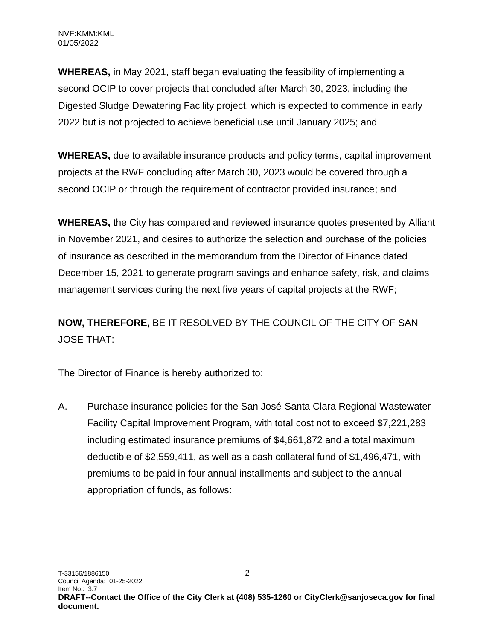**WHEREAS,** in May 2021, staff began evaluating the feasibility of implementing a second OCIP to cover projects that concluded after March 30, 2023, including the Digested Sludge Dewatering Facility project, which is expected to commence in early 2022 but is not projected to achieve beneficial use until January 2025; and

**WHEREAS,** due to available insurance products and policy terms, capital improvement projects at the RWF concluding after March 30, 2023 would be covered through a second OCIP or through the requirement of contractor provided insurance; and

**WHEREAS,** the City has compared and reviewed insurance quotes presented by Alliant in November 2021, and desires to authorize the selection and purchase of the policies of insurance as described in the memorandum from the Director of Finance dated December 15, 2021 to generate program savings and enhance safety, risk, and claims management services during the next five years of capital projects at the RWF;

**NOW, THEREFORE,** BE IT RESOLVED BY THE COUNCIL OF THE CITY OF SAN JOSE THAT:

The Director of Finance is hereby authorized to:

A. Purchase insurance policies for the San José-Santa Clara Regional Wastewater Facility Capital Improvement Program, with total cost not to exceed \$7,221,283 including estimated insurance premiums of \$4,661,872 and a total maximum deductible of \$2,559,411, as well as a cash collateral fund of \$1,496,471, with premiums to be paid in four annual installments and subject to the annual appropriation of funds, as follows: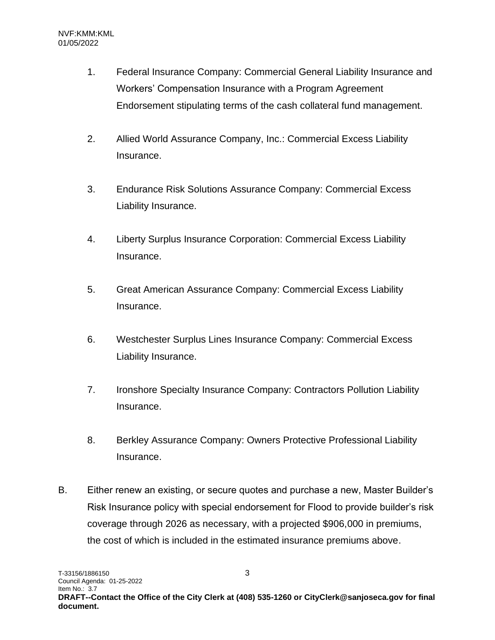- 1. Federal Insurance Company: Commercial General Liability Insurance and Workers' Compensation Insurance with a Program Agreement Endorsement stipulating terms of the cash collateral fund management.
- 2. Allied World Assurance Company, Inc.: Commercial Excess Liability Insurance.
- 3. Endurance Risk Solutions Assurance Company: Commercial Excess Liability Insurance.
- 4. Liberty Surplus Insurance Corporation: Commercial Excess Liability Insurance.
- 5. Great American Assurance Company: Commercial Excess Liability Insurance.
- 6. Westchester Surplus Lines Insurance Company: Commercial Excess Liability Insurance.
- 7. Ironshore Specialty Insurance Company: Contractors Pollution Liability Insurance.
- 8. Berkley Assurance Company: Owners Protective Professional Liability Insurance.
- B. Either renew an existing, or secure quotes and purchase a new, Master Builder's Risk Insurance policy with special endorsement for Flood to provide builder's risk coverage through 2026 as necessary, with a projected \$906,000 in premiums, the cost of which is included in the estimated insurance premiums above.